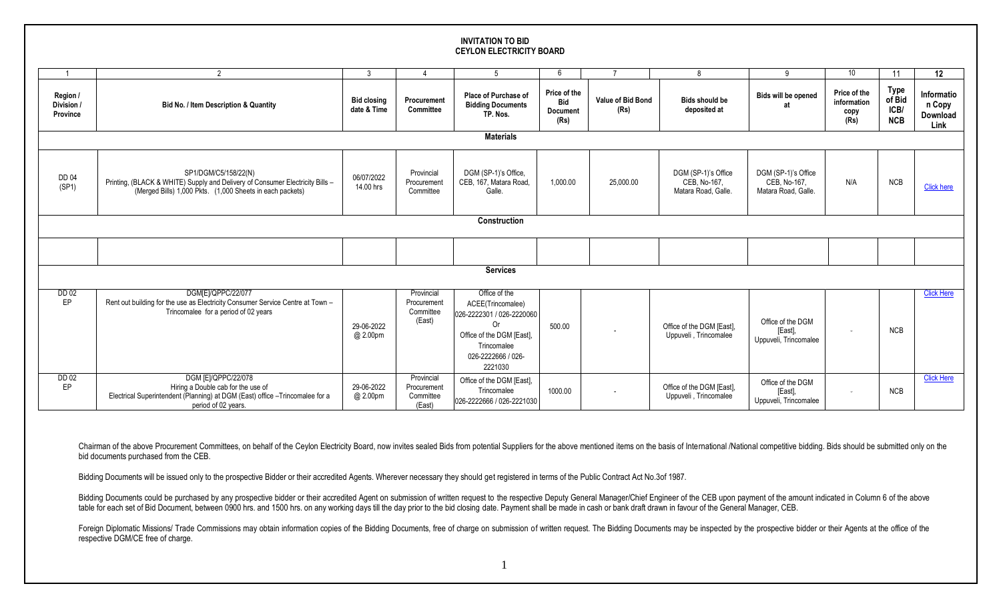## **INVITATION TO BID CEYLON ELECTRICITY BOARD**

|                                    | $\mathcal{P}$                                                                                                                                                      | 3                                 |                                                  | 5                                                                                                                                                         | 6                                                     |                           | -8                                                         | 9                                                          | 10                                          | 11                                          | 12                                       |
|------------------------------------|--------------------------------------------------------------------------------------------------------------------------------------------------------------------|-----------------------------------|--------------------------------------------------|-----------------------------------------------------------------------------------------------------------------------------------------------------------|-------------------------------------------------------|---------------------------|------------------------------------------------------------|------------------------------------------------------------|---------------------------------------------|---------------------------------------------|------------------------------------------|
| Region /<br>Division /<br>Province | Bid No. / Item Description & Quantity                                                                                                                              | <b>Bid closing</b><br>date & Time | Procurement<br><b>Committee</b>                  | Place of Purchase of<br><b>Bidding Documents</b><br>TP. Nos.                                                                                              | Price of the<br><b>Bid</b><br><b>Document</b><br>(Rs) | Value of Bid Bond<br>(Rs) | <b>Bids should be</b><br>deposited at                      | Bids will be opened<br>яt                                  | Price of the<br>information<br>copy<br>(Rs) | <b>Type</b><br>of Bid<br>ICB/<br><b>NCB</b> | Informatio<br>n Copy<br>Download<br>Link |
| <b>Materials</b>                   |                                                                                                                                                                    |                                   |                                                  |                                                                                                                                                           |                                                       |                           |                                                            |                                                            |                                             |                                             |                                          |
| <b>DD 04</b><br>(SP1)              | SP1/DGM/C5/158/22(N)<br>Printing, (BLACK & WHITE) Supply and Delivery of Consumer Electricity Bills -<br>(Merged Bills) 1,000 Pkts. (1,000 Sheets in each packets) | 06/07/2022<br>14.00 hrs           | Provincial<br>Procurement<br>Committee           | DGM (SP-1)'s Office,<br>CEB, 167, Matara Road,<br>Galle.                                                                                                  | 1,000.00                                              | 25,000.00                 | DGM (SP-1)'s Office<br>CEB, No-167,<br>Matara Road, Galle. | DGM (SP-1)'s Office<br>CEB, No-167,<br>Matara Road, Galle. | N/A                                         | <b>NCB</b>                                  | <b>Click here</b>                        |
| Construction                       |                                                                                                                                                                    |                                   |                                                  |                                                                                                                                                           |                                                       |                           |                                                            |                                                            |                                             |                                             |                                          |
|                                    |                                                                                                                                                                    |                                   |                                                  |                                                                                                                                                           |                                                       |                           |                                                            |                                                            |                                             |                                             |                                          |
|                                    |                                                                                                                                                                    |                                   |                                                  |                                                                                                                                                           |                                                       |                           |                                                            |                                                            |                                             |                                             |                                          |
| <b>Services</b>                    |                                                                                                                                                                    |                                   |                                                  |                                                                                                                                                           |                                                       |                           |                                                            |                                                            |                                             |                                             |                                          |
| <b>DD 02</b><br>EP                 | DGM[E]/QPPC/22/077<br>Rent out building for the use as Electricity Consumer Service Centre at Town -<br>Trincomalee for a period of 02 years                       | 29-06-2022<br>@ 2.00pm            | Provincial<br>Procurement<br>Committee<br>(East) | Office of the<br>ACEE(Trincomalee)<br>026-2222301 / 026-2220060<br><b>Or</b><br>Office of the DGM [East],<br>Trincomalee<br>026-2222666 / 026-<br>2221030 | 500.00                                                | $\overline{\phantom{a}}$  | Office of the DGM [East].<br>Uppuveli, Trincomalee         | Office of the DGM<br>[East],<br>Uppuveli, Trincomalee      | $\sim$                                      | <b>NCB</b>                                  | <b>Click Here</b>                        |
| <b>DD 02</b><br>EP                 | DGM [E]/QPPC/22/078<br>Hiring a Double cab for the use of<br>Electrical Superintendent (Planning) at DGM (East) office -Trincomalee for a<br>period of 02 years.   | 29-06-2022<br>@ 2.00pm            | Provincial<br>Procurement<br>Committee<br>(East) | Office of the DGM [East],<br>Trincomalee<br>026-2222666 / 026-2221030                                                                                     | 1000.00                                               |                           | Office of the DGM [East],<br>Uppuveli, Trincomalee         | Office of the DGM<br>[East]<br>Uppuveli, Trincomalee       |                                             | <b>NCB</b>                                  | <b>Click Here</b>                        |

Chairman of the above Procurement Committees, on behalf of the Ceylon Electricity Board, now invites sealed Bids from potential Suppliers for the above mentioned items on the basis of International /National competitive bi bid documents purchased from the CEB.

Bidding Documents will be issued only to the prospective Bidder or their accredited Agents. Wherever necessary they should get registered in terms of the Public Contract Act No.3of 1987.

Bidding Documents could be purchased by any prospective bidder or their accredited Agent on submission of written request to the respective Deputy General Manager/Chief Engineer of the CEB upon payment of the amount indica table for each set of Bid Document, between 0900 hrs. and 1500 hrs. on any working days till the day prior to the bid closing date. Payment shall be made in cash or bank draft drawn in favour of the General Manager, CEB.

Foreign Diplomatic Missions/ Trade Commissions may obtain information copies of the Bidding Documents, free of charge on submission of written request. The Bidding Documents may be inspected by the prospective bidder or th respective DGM/CE free of charge.